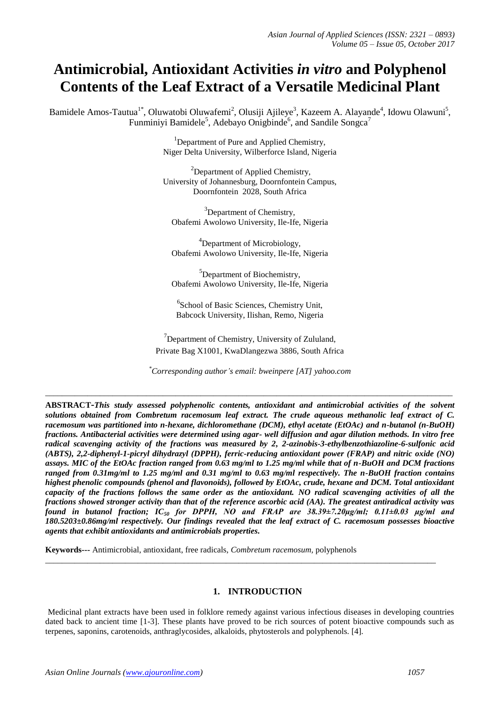# **Antimicrobial, Antioxidant Activities** *in vitro* **and Polyphenol Contents of the Leaf Extract of a Versatile Medicinal Plant**

Bamidele Amos-Tautua<sup>1\*</sup>, Oluwatobi Oluwafemi<sup>2</sup>, Olusiji Ajileye<sup>3</sup>, Kazeem A. Alayande<sup>4</sup>, Idowu Olawuni<sup>5</sup>, Funminiyi Bamidele<sup>5</sup>, Adebayo Onigbinde<sup>6</sup>, and Sandile Songca<sup>7</sup>

> <sup>1</sup>Department of Pure and Applied Chemistry, Niger Delta University, Wilberforce Island, Nigeria

> <sup>2</sup>Department of Applied Chemistry, University of Johannesburg, Doornfontein Campus, Doornfontein 2028, South Africa

 $3$ Department of Chemistry, Obafemi Awolowo University, Ile-Ife, Nigeria

<sup>4</sup>Department of Microbiology, Obafemi Awolowo University, Ile-Ife, Nigeria

<sup>5</sup>Department of Biochemistry, Obafemi Awolowo University, Ile-Ife, Nigeria

6 School of Basic Sciences, Chemistry Unit, Babcock University, Ilishan, Remo, Nigeria

 $\sigma$ <sup>7</sup>Department of Chemistry, University of Zululand, Private Bag X1001, KwaDlangezwa 3886, South Africa

*\*Corresponding author's email: bweinpere [AT] yahoo.com*

*\_\_\_\_\_\_\_\_\_\_\_\_\_\_\_\_\_\_\_\_\_\_\_\_\_\_\_\_\_\_\_\_\_\_\_\_\_\_\_\_\_\_\_\_\_\_\_\_\_\_\_\_\_\_\_\_\_\_\_\_\_\_\_\_\_\_\_\_\_\_\_\_\_\_\_\_\_\_\_\_\_\_\_\_\_\_\_\_\_\_\_\_\_\_\_\_\_*

**ABSTRACT-***This study assessed polyphenolic contents, antioxidant and antimicrobial activities of the solvent solutions obtained from Combretum racemosum leaf extract. The crude aqueous methanolic leaf extract of C. racemosum was partitioned into n-hexane, dichloromethane (DCM), ethyl acetate (EtOAc) and n-butanol (n-BuOH) fractions. Antibacterial activities were determined using agar- well diffusion and agar dilution methods. In vitro free radical scavenging activity of the fractions was measured by 2, 2-azinobis-3-ethylbenzothiazoline-6-sulfonic acid (ABTS), 2,2-diphenyl-1-picryl dihydrazyl (DPPH), ferric-reducing antioxidant power (FRAP) and nitric oxide (NO) assays. MIC of the EtOAc fraction ranged from 0.63 mg/ml to 1.25 mg/ml while that of n-BuOH and DCM fractions ranged from 0.31mg/ml to 1.25 mg/ml and 0.31 mg/ml to 0.63 mg/ml respectively. The n-BuOH fraction contains highest phenolic compounds (phenol and flavonoids), followed by EtOAc, crude, hexane and DCM. Total antioxidant capacity of the fractions follows the same order as the antioxidant. NO radical scavenging activities of all the fractions showed stronger activity than that of the reference ascorbic acid (AA). The greatest antiradical activity was found in butanol fraction; IC<sup>50</sup> for DPPH, NO and FRAP are 38.39±7.20μg/ml; 0.11±0.03 μg/ml and 180.5203±0.86mg/ml respectively. Our findings revealed that the leaf extract of C. racemosum possesses bioactive agents that exhibit antioxidants and antimicrobials properties.*

**Keywords---** Antimicrobial, antioxidant, free radicals, *Combretum racemosum,* polyphenols

## **1. INTRODUCTION**

Medicinal plant extracts have been used in folklore remedy against various infectious diseases in developing countries dated back to ancient time [1-3]. These plants have proved to be rich sources of potent bioactive compounds such as terpenes, saponins, carotenoids, anthraglycosides, alkaloids, phytosterols and polyphenols. [4].

\_\_\_\_\_\_\_\_\_\_\_\_\_\_\_\_\_\_\_\_\_\_\_\_\_\_\_\_\_\_\_\_\_\_\_\_\_\_\_\_\_\_\_\_\_\_\_\_\_\_\_\_\_\_\_\_\_\_\_\_\_\_\_\_\_\_\_\_\_\_\_\_\_\_\_\_\_\_\_\_\_\_\_\_\_\_\_\_\_\_\_\_\_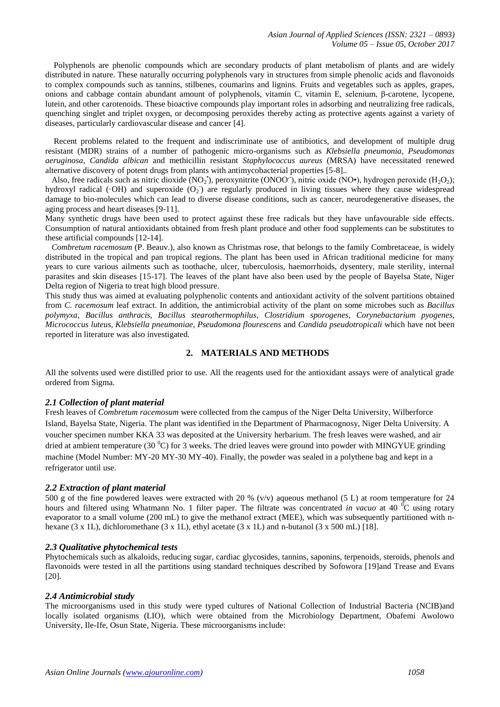Polyphenols are phenolic compounds which are secondary products of plant metabolism of plants and are widely distributed in nature. These naturally occurring polyphenols vary in structures from simple phenolic acids and flavonoids to complex compounds such as tannins, stilbenes, coumarins and lignins. Fruits and vegetables such as apples, grapes, onions and cabbage contain abundant amount of polyphenols, vitamin C, vitamin E, selenium, β-carotene, lycopene, lutein, and other carotenoids. These bioactive compounds play important roles in adsorbing and neutralizing free radicals, quenching singlet and triplet oxygen, or decomposing peroxides thereby acting as protective agents against a variety of diseases, particularly cardiovascular disease and cancer [4].

 Recent problems related to the frequent and indiscriminate use of antibiotics, and development of multiple drug resistant (MDR) strains of a number of pathogenic micro-organisms such as *Klebsiella pneumonia*, *Pseudomonas aeruginosa*, *Candida albican* and methicillin resistant *Staphylococcus aureus* (MRSA) have necessitated renewed alternative discovery of potent drugs from plants with antimycobacterial properties [5-8]..

Also, free radicals such as nitric dioxide (NO<sub>2</sub><sup>\*</sup>), peroxynitrite (ONOO<sup>-</sup>), nitric oxide (NO•), hydrogen peroxide (H<sub>2</sub>O<sub>2</sub>); hydroxyl radical ( $\cdot$ OH) and superoxide (O<sub>2</sub>) are regularly produced in living tissues where they cause widespread damage to bio-molecules which can lead to diverse disease conditions, such as cancer, neurodegenerative diseases, the aging process and heart diseases [9-11].

Many synthetic drugs have been used to protect against these free radicals but they have unfavourable side effects. Consumption of natural antioxidants obtained from fresh plant produce and other food supplements can be substitutes to these artificial compounds [12-14].

 *Combretum racemosum* (P. Beauv.), also known as Christmas rose, that belongs to the family Combretaceae, is widely distributed in the tropical and pan tropical regions. The plant has been used in African traditional medicine for many years to cure various ailments such as toothache, ulcer, tuberculosis, haemorrhoids, dysentery, male sterility, internal parasites and skin diseases [15-17]. The leaves of the plant have also been used by the people of Bayelsa State, Niger Delta region of Nigeria to treat high blood pressure.

This study thus was aimed at evaluating polyphenolic contents and antioxidant activity of the solvent partitions obtained from *C. racemosum* leaf extract. In addition, the antimicrobial activity of the plant on some microbes such as *Bacillus polymyxa*, *Bacillus anthracis, Bacillus stearothermophilus*, *Clostridium sporogenes*, *Corynebactarium pyogenes, Micrococcus luteus, Klebsiella pneumoniae, Pseudomona flourescens* and *Candida pseudotropicali* which have not been reported in literature was also investigated*.*

## **2. MATERIALS AND METHODS**

All the solvents used were distilled prior to use. All the reagents used for the antioxidant assays were of analytical grade ordered from Sigma.

## *2.1 Collection of plant material*

Fresh leaves of *Combretum racemosum* were collected from the campus of the Niger Delta University, Wilberforce Island, Bayelsa State, Nigeria. The plant was identified in the Department of Pharmacognosy, Niger Delta University. A voucher specimen number KKA 33 was deposited at the University herbarium. The fresh leaves were washed, and air dried at ambient temperature (30 $\rm{^0C}$ ) for 3 weeks. The dried leaves were ground into powder with MINGYUE grinding machine (Model Number: MY-20 MY-30 MY-40). Finally, the powder was sealed in a polythene bag and kept in a refrigerator until use.

## *2.2 Extraction of plant material*

500 g of the fine powdered leaves were extracted with 20 % (v/v) aqueous methanol (5 L) at room temperature for 24 hours and filtered using Whatmann No. 1 filter paper. The filtrate was concentrated *in vacuo* at 40 <sup>o</sup>C using rotary evaporator to a small volume (200 mL) to give the methanol extract (MEE), which was subsequently partitioned with nhexane (3 x 1L), dichloromethane (3 x 1L), ethyl acetate (3 x 1L) and n-butanol (3 x 500 mL) [18].

## *2.3 Qualitative phytochemical tests*

Phytochemicals such as alkaloids, reducing sugar, cardiac glycosides, tannins, saponins, terpenoids, steroids, phenols and flavonoids were tested in all the partitions using standard techniques described by Sofowora [19]and Trease and Evans [20].

## *2.4 Antimicrobial study*

The microorganisms used in this study were typed cultures of National Collection of Industrial Bacteria (NCIB)and locally isolated organisms (LIO), which were obtained from the Microbiology Department, Obafemi Awolowo University, Ile-Ife, Osun State, Nigeria. These microorganisms include: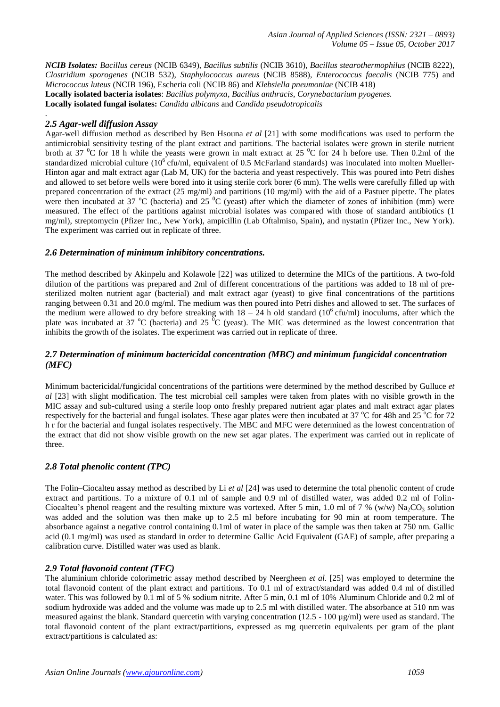*Asian Journal of Applied Sciences (ISSN: 2321 – 0893) Volume 05 – Issue 05, October 2017*

*NCIB Isolates: Bacillus cereus* (NCIB 6349), *Bacillus subtilis* (NCIB 3610), *Bacillus stearothermophilus* (NCIB 8222), *Clostridium sporogenes* (NCIB 532), *Staphylococcus aureus* (NCIB 8588), *Enterococcus faecalis* (NCIB 775) and *Micrococcus luteus* (NCIB 196), Escheria coli (NCIB 86) and *Klebsiella pneumoniae* (NCIB 418) **Locally isolated bacteria isolates**: *Bacillus polymyxa*, *Bacillus anthracis*, *Corynebactarium pyogenes.* **Locally isolated fungal isolates:** *Candida albicans* and *Candida pseudotropicalis*

## *2.5 Agar-well diffusion Assay*

*.*

Agar-well diffusion method as described by Ben Hsouna *et al* [21] with some modifications was used to perform the antimicrobial sensitivity testing of the plant extract and partitions. The bacterial isolates were grown in sterile nutrient broth at 37  $\rm{^0C}$  for 18 h while the yeasts were grown in malt extract at 25  $\rm{^0C}$  for 24 h before use. Then 0.2ml of the standardized microbial culture ( $10^6$  cfu/ml, equivalent of 0.5 McFarland standards) was inoculated into molten Mueller-Hinton agar and malt extract agar (Lab M, UK) for the bacteria and yeast respectively. This was poured into Petri dishes and allowed to set before wells were bored into it using sterile cork borer (6 mm). The wells were carefully filled up with prepared concentration of the extract (25 mg/ml) and partitions (10 mg/ml) with the aid of a Pastuer pipette. The plates were then incubated at 37  $^{\circ}$ C (bacteria) and 25  $^{\circ}$ C (yeast) after which the diameter of zones of inhibition (mm) were measured. The effect of the partitions against microbial isolates was compared with those of standard antibiotics (1 mg/ml), streptomycin (Pfizer Inc., New York), ampicillin (Lab Oftalmiso, Spain), and nystatin (Pfizer Inc., New York). The experiment was carried out in replicate of three.

## *2.6 Determination of minimum inhibitory concentrations.*

The method described by Akinpelu and Kolawole [22] was utilized to determine the MICs of the partitions. A two-fold dilution of the partitions was prepared and 2ml of different concentrations of the partitions was added to 18 ml of presterilized molten nutrient agar (bacterial) and malt extract agar (yeast) to give final concentrations of the partitions ranging between 0.31 and 20.0 mg/ml. The medium was then poured into Petri dishes and allowed to set. The surfaces of the medium were allowed to dry before streaking with  $18 - 24$  h old standard ( $10^6$  cfu/ml) inoculums, after which the plate was incubated at 37  $^{\circ}$ C (bacteria) and 25  $^{\circ}$ C (yeast). The MIC was determined as the lowest concentration that inhibits the growth of the isolates. The experiment was carried out in replicate of three.

## *2.7 Determination of minimum bactericidal concentration (MBC) and minimum fungicidal concentration (MFC)*

Minimum bactericidal/fungicidal concentrations of the partitions were determined by the method described by Gulluce *et al* [23] with slight modification. The test microbial cell samples were taken from plates with no visible growth in the MIC assay and sub-cultured using a sterile loop onto freshly prepared nutrient agar plates and malt extract agar plates respectively for the bacterial and fungal isolates. These agar plates were then incubated at 37 °C for 48h and 25 °C for 72 h r for the bacterial and fungal isolates respectively. The MBC and MFC were determined as the lowest concentration of the extract that did not show visible growth on the new set agar plates. The experiment was carried out in replicate of three.

## *2.8 Total phenolic content (TPC)*

The Folin–Ciocalteu assay method as described by Li *et al* [24] was used to determine the total phenolic content of crude extract and partitions. To a mixture of 0.1 ml of sample and 0.9 ml of distilled water, was added 0.2 ml of Folin-Ciocalteu's phenol reagent and the resulting mixture was vortexed. After 5 min, 1.0 ml of 7 % (w/w)  $Na<sub>2</sub>CO<sub>3</sub>$  solution was added and the solution was then make up to 2.5 ml before incubating for 90 min at room temperature. The absorbance against a negative control containing 0.1ml of water in place of the sample was then taken at 750 nm. Gallic acid (0.1 mg/ml) was used as standard in order to determine Gallic Acid Equivalent (GAE) of sample, after preparing a calibration curve. Distilled water was used as blank.

## *2.9 Total flavonoid content (TFC)*

The aluminium chloride colorimetric assay method described by Neergheen *et al*. [25] was employed to determine the total flavonoid content of the plant extract and partitions. To 0.1 ml of extract/standard was added 0.4 ml of distilled water. This was followed by 0.1 ml of 5 % sodium nitrite. After 5 min, 0.1 ml of 10% Aluminum Chloride and 0.2 ml of sodium hydroxide was added and the volume was made up to 2.5 ml with distilled water. The absorbance at 510 nm was measured against the blank. Standard quercetin with varying concentration (12.5 - 100 µg/ml) were used as standard. The total flavonoid content of the plant extract/partitions, expressed as mg quercetin equivalents per gram of the plant extract/partitions is calculated as: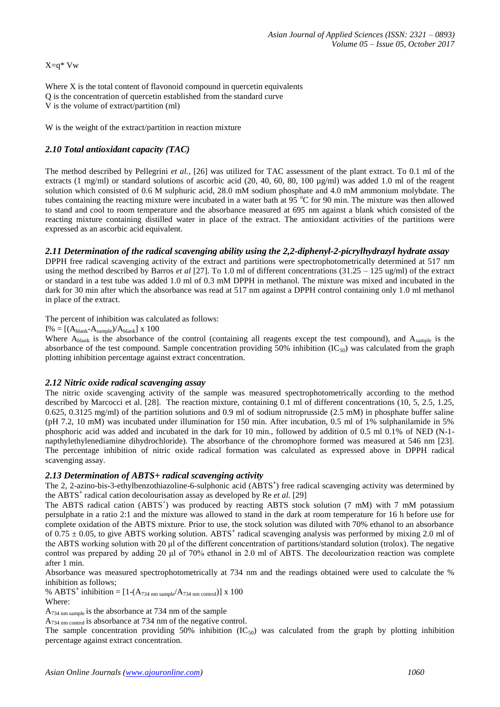X=q\* Vw

Where X is the total content of flavonoid compound in quercetin equivalents Q is the concentration of quercetin established from the standard curve V is the volume of extract/partition (ml)

W is the weight of the extract/partition in reaction mixture

# *2.10 Total antioxidant capacity (TAC)*

The method described by Pellegrini *et al.,* [26] was utilized for TAC assessment of the plant extract. To 0.1 ml of the extracts (1 mg/ml) or standard solutions of ascorbic acid (20, 40, 60, 80, 100  $\mu$ g/ml) was added 1.0 ml of the reagent solution which consisted of 0.6 M sulphuric acid, 28.0 mM sodium phosphate and 4.0 mM ammonium molybdate. The tubes containing the reacting mixture were incubated in a water bath at 95  $\degree$ C for 90 min. The mixture was then allowed to stand and cool to room temperature and the absorbance measured at 695 nm against a blank which consisted of the reacting mixture containing distilled water in place of the extract. The antioxidant activities of the partitions were expressed as an ascorbic acid equivalent.

# *2.11 Determination of the radical scavenging ability using the 2,2-diphenyl-2-picrylhydrazyl hydrate assay*

DPPH free radical scavenging activity of the extract and partitions were spectrophotometrically determined at 517 nm using the method described by Barros *et al* [27]. To 1.0 ml of different concentrations (31.25 – 125 ug/ml) of the extract or standard in a test tube was added 1.0 ml of 0.3 mM DPPH in methanol. The mixture was mixed and incubated in the dark for 30 min after which the absorbance was read at 517 nm against a DPPH control containing only 1.0 ml methanol in place of the extract.

The percent of inhibition was calculated as follows:

 $I% = [(A_{\text{blank}}-A_{\text{sample}})/A_{\text{blank}}] \times 100$ 

Where  $A_{\text{blank}}$  is the absorbance of the control (containing all reagents except the test compound), and  $A_{\text{sample}}$  is the absorbance of the test compound. Sample concentration providing 50% inhibition  $(IC_{50})$  was calculated from the graph plotting inhibition percentage against extract concentration.

## *2.12 Nitric oxide radical scavenging assay*

The nitric oxide scavenging activity of the sample was measured spectrophotometrically according to the method described by Marcocci et al. [28]. The reaction mixture, containing 0.1 ml of different concentrations (10, 5, 2.5, 1.25, 0.625, 0.3125 mg/ml) of the partition solutions and 0.9 ml of sodium nitroprusside (2.5 mM) in phosphate buffer saline (pH 7.2, 10 mM) was incubated under illumination for 150 min. After incubation, 0.5 ml of 1% sulphanilamide in 5% phosphoric acid was added and incubated in the dark for 10 min., followed by addition of 0.5 ml 0.1% of NED (N-1 napthylethylenediamine dihydrochloride). The absorbance of the chromophore formed was measured at 546 nm [23]. The percentage inhibition of nitric oxide radical formation was calculated as expressed above in DPPH radical scavenging assay.

## *2.13 Determination of ABTS+ radical scavenging activity*

The 2, 2-azino-bis-3-ethylbenzothiazoline-6-sulphonic acid (ABTS<sup>+</sup>) free radical scavenging activity was determined by the ABTS**<sup>+</sup>** radical cation decolourisation assay as developed by Re *et al.* [29]

The ABTS radical cation (ABTS<sup>+</sup>) was produced by reacting ABTS stock solution (7 mM) with 7 mM potassium persulphate in a ratio 2:1 and the mixture was allowed to stand in the dark at room temperature for 16 h before use for complete oxidation of the ABTS mixture. Prior to use, the stock solution was diluted with 70% ethanol to an absorbance of  $0.75 \pm 0.05$ , to give ABTS working solution. ABTS<sup>+</sup> radical scavenging analysis was performed by mixing 2.0 ml of the ABTS working solution with 20 μl of the different concentration of partitions/standard solution (trolox). The negative control was prepared by adding 20 μl of 70% ethanol in 2.0 ml of ABTS. The decolourization reaction was complete after 1 min.

Absorbance was measured spectrophotometrically at 734 nm and the readings obtained were used to calculate the % inhibition as follows;

% ABTS<sup>+</sup> inhibition =  $[1-(A_{734 \text{ nm sample}}/A_{734 \text{ nm control}})] \times 100$ Where:

A<sub>734 nm sample</sub> is the absorbance at 734 nm of the sample

A<sup>734</sup> nm control is absorbance at 734 nm of the negative control.

The sample concentration providing 50% inhibition  $(IC_{50})$  was calculated from the graph by plotting inhibition percentage against extract concentration.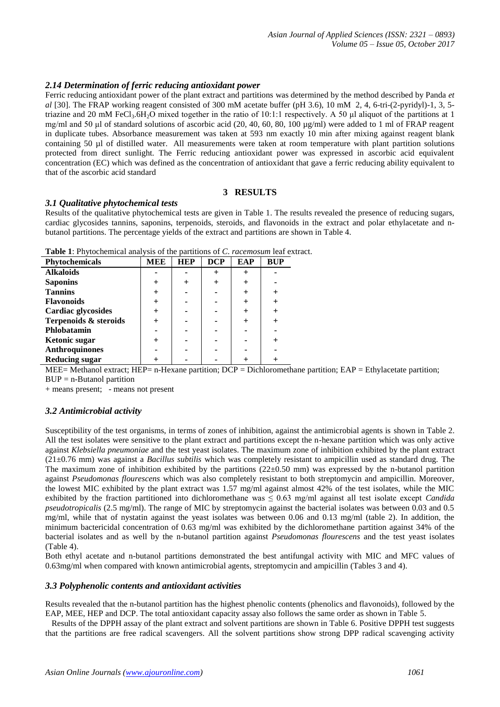## *2.14 Determination of ferric reducing antioxidant power*

Ferric reducing antioxidant power of the plant extract and partitions was determined by the method described by Panda *et al* [30]. The FRAP working reagent consisted of 300 mM acetate buffer (pH 3.6), 10 mM 2, 4, 6-tri-(2-pyridyl)-1, 3, 5 triazine and 20 mM FeCl<sub>3</sub>.6H<sub>2</sub>O mixed together in the ratio of 10:1:1 respectively. A 50 µl aliquot of the partitions at 1 mg/ml and 50 μl of standard solutions of ascorbic acid (20, 40, 60, 80, 100 μg/ml) were added to 1 ml of FRAP reagent in duplicate tubes. Absorbance measurement was taken at 593 nm exactly 10 min after mixing against reagent blank containing 50 ul of distilled water. All measurements were taken at room temperature with plant partition solutions protected from direct sunlight. The Ferric reducing antioxidant power was expressed in ascorbic acid equivalent concentration (EC) which was defined as the concentration of antioxidant that gave a ferric reducing ability equivalent to that of the ascorbic acid standard

## **3 RESULTS**

#### *3.1 Qualitative phytochemical tests*

Results of the qualitative phytochemical tests are given in Table 1. The results revealed the presence of reducing sugars, cardiac glycosides tannins, saponins, terpenoids, steroids, and flavonoids in the extract and polar ethylacetate and nbutanol partitions. The percentage yields of the extract and partitions are shown in Table 4.

| <b>Table 1:</b> Phytochemical analysis of the partitions of C, racemosum leaf extract. |  |  |
|----------------------------------------------------------------------------------------|--|--|
|----------------------------------------------------------------------------------------|--|--|

| Phytochemicals        | MEE | <b>HEP</b> | <b>DCP</b> | EAP | <b>BUP</b> |
|-----------------------|-----|------------|------------|-----|------------|
|                       |     |            |            |     |            |
| <b>Alkaloids</b>      |     |            |            |     |            |
| <b>Saponins</b>       |     |            |            |     |            |
| <b>Tannins</b>        |     |            |            |     |            |
| <b>Flavonoids</b>     |     |            |            |     |            |
| Cardiac glycosides    |     |            |            |     |            |
| Terpenoids & steroids |     |            |            |     |            |
| Phlobatamin           |     |            |            |     |            |
| Ketonic sugar         |     |            |            |     |            |
| <b>Anthroquinones</b> |     |            |            |     |            |
| <b>Reducing sugar</b> |     |            |            |     |            |

MEE= Methanol extract; HEP= n-Hexane partition; DCP = Dichloromethane partition; EAP = Ethylacetate partition;  $BUP = n-B$ utanol partition

+ means present; - means not present

## *3.2 Antimicrobial activity*

Susceptibility of the test organisms, in terms of zones of inhibition, against the antimicrobial agents is shown in Table 2. All the test isolates were sensitive to the plant extract and partitions except the n-hexane partition which was only active against *Klebsiella pneumoniae* and the test yeast isolates. The maximum zone of inhibition exhibited by the plant extract (21±0.76 mm) was against a *Bacillus subtilis* which was completely resistant to ampicillin used as standard drug. The The maximum zone of inhibition exhibited by the partitions  $(22\pm0.50 \text{ mm})$  was expressed by the n-butanol partition against *Pseudomonas flourescens* which was also completely resistant to both streptomycin and ampicillin. Moreover, the lowest MIC exhibited by the plant extract was 1.57 mg/ml against almost 42% of the test isolates, while the MIC exhibited by the fraction partitioned into dichloromethane was  $\leq 0.63$  mg/ml against all test isolate except *Candida pseudotropicalis* (2.5 mg/ml). The range of MIC by streptomycin against the bacterial isolates was between 0.03 and 0.5 mg/ml, while that of nystatin against the yeast isolates was between 0.06 and 0.13 mg/ml (table 2). In addition, the minimum bactericidal concentration of 0.63 mg/ml was exhibited by the dichloromethane partition against 34% of the bacterial isolates and as well by the n-butanol partition against *Pseudomonas flourescens* and the test yeast isolates (Table 4).

Both ethyl acetate and n-butanol partitions demonstrated the best antifungal activity with MIC and MFC values of 0.63mg/ml when compared with known antimicrobial agents, streptomycin and ampicillin (Tables 3 and 4).

## *3.3 Polyphenolic contents and antioxidant activities*

Results revealed that the n-butanol partition has the highest phenolic contents (phenolics and flavonoids), followed by the EAP, MEE, HEP and DCP. The total antioxidant capacity assay also follows the same order as shown in Table 5.

 Results of the DPPH assay of the plant extract and solvent partitions are shown in Table 6. Positive DPPH test suggests that the partitions are free radical scavengers. All the solvent partitions show strong DPP radical scavenging activity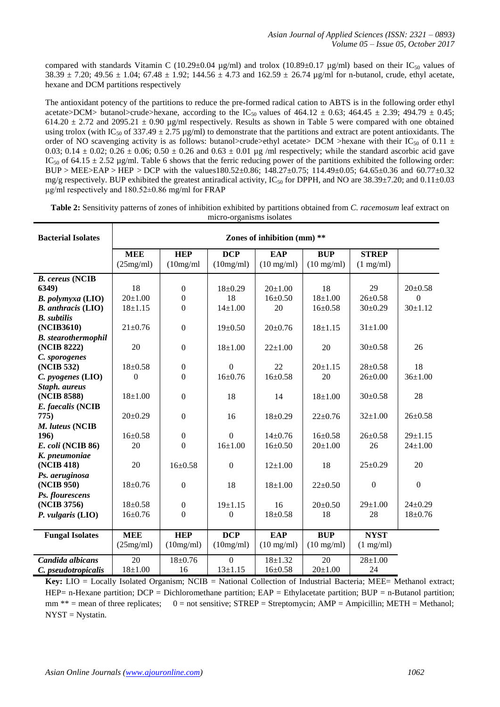compared with standards Vitamin C (10.29±0.04  $\mu$ g/ml) and trolox (10.89±0.17  $\mu$ g/ml) based on their IC<sub>50</sub> values of 38.39  $\pm$  7.20; 49.56  $\pm$  1.04; 67.48  $\pm$  1.92; 144.56  $\pm$  4.73 and 162.59  $\pm$  26.74 µg/ml for n-butanol, crude, ethyl acetate, hexane and DCM partitions respectively

The antioxidant potency of the partitions to reduce the pre-formed radical cation to ABTS is in the following order ethyl acetate>DCM> butanol>crude>hexane, according to the IC<sub>50</sub> values of 464.12  $\pm$  0.63; 464.45  $\pm$  2.39; 494.79  $\pm$  0.45; 614.20  $\pm$  2.72 and 2095.21  $\pm$  0.90 µg/ml respectively. Results as shown in Table 5 were compared with one obtained using trolox (with IC<sub>50</sub> of 337.49  $\pm$  2.75 µg/ml) to demonstrate that the partitions and extract are potent antioxidants. The order of NO scavenging activity is as follows: butanol>crude>ethyl acetate> DCM >hexane with their IC<sub>50</sub> of 0.11  $\pm$ 0.03; 0.14  $\pm$  0.02; 0.26  $\pm$  0.06; 0.50  $\pm$  0.26 and 0.63  $\pm$  0.01 µg /ml respectively; while the standard ascorbic acid gave IC<sub>50</sub> of 64.15  $\pm$  2.52 µg/ml. Table 6 shows that the ferric reducing power of the partitions exhibited the following order: BUP > MEE>EAP > HEP > DCP with the values180.52±0.86; 148.27±0.75; 114.49±0.05; 64.65±0.36 and 60.77±0.32 mg/g respectively. BUP exhibited the greatest antiradical activity,  $IC_{50}$  for DPPH, and NO are 38.39±7.20; and 0.11±0.03 μg/ml respectively and 180.52±0.86 mg/ml for FRAP

| <b>Bacterial Isolates</b>  | Zones of inhibition (mm) ** |                  |                  |                      |                      |                     |                  |
|----------------------------|-----------------------------|------------------|------------------|----------------------|----------------------|---------------------|------------------|
|                            | <b>MEE</b>                  | <b>HEP</b>       | <b>DCP</b>       | <b>EAP</b>           | <b>BUP</b>           | <b>STREP</b>        |                  |
|                            | (25mg/ml)                   | (10mg/ml)        | (10mg/ml)        | $(10 \text{ mg/ml})$ | $(10 \text{ mg/ml})$ | $(1 \text{ mg/ml})$ |                  |
| <b>B.</b> cereus (NCIB     |                             |                  |                  |                      |                      |                     |                  |
| 6349)                      | 18                          | $\boldsymbol{0}$ | $18+0.29$        | $20+1.00$            | 18                   | 29                  | $20 \pm 0.58$    |
| <b>B.</b> polymyxa (LIO)   | $20 \pm 1.00$               | $\boldsymbol{0}$ | 18               | $16 \pm 0.50$        | $18 + 1.00$          | $26 \pm 0.58$       | $\Omega$         |
| <b>B.</b> anthracis (LIO)  | $18 + 1.15$                 | $\overline{0}$   | $14 \pm 1.00$    | 20                   | $16 \pm 0.58$        | $30\pm0.29$         | $30 \pm 1.12$    |
| <b>B.</b> subtilis         |                             |                  |                  |                      |                      |                     |                  |
| (NCIB3610)                 | $21 \pm 0.76$               | $\mathbf{0}$     | $19 \pm 0.50$    | $20 \pm 0.76$        | $18 \pm 1.15$        | $31 \pm 1.00$       |                  |
| <b>B.</b> stearothermophil |                             |                  |                  |                      |                      |                     |                  |
| (NCIB 8222)                | 20                          | $\overline{0}$   | $18 + 1.00$      | $22 \pm 1.00$        | 20                   | $30 \pm 0.58$       | 26               |
| C. sporogenes              |                             |                  |                  |                      |                      |                     |                  |
| (NCIB 532)                 | $18+0.58$                   | $\mathbf{0}$     | $\overline{0}$   | 22                   | $20+1.15$            | $28 \pm 0.58$       | 18               |
| C. pyogenes (LIO)          | $\overline{0}$              | $\overline{0}$   | $16 \pm 0.76$    | $16 \pm 0.58$        | 20                   | $26 \pm 0.00$       | $36 \pm 1.00$    |
| Staph. aureus              |                             |                  |                  |                      |                      |                     |                  |
| (NCIB 8588)                | $18 + 1.00$                 | $\mathbf{0}$     | 18               | 14                   | $18+1.00$            | $30 \pm 0.58$       | 28               |
| E. faecalis (NCIB          |                             |                  |                  |                      |                      |                     |                  |
| 775)                       | $20 \pm 0.29$               | $\mathbf{0}$     | 16               | $18 \pm 0.29$        | $22 \pm 0.76$        | $32 \pm 1.00$       | $26 \pm 0.58$    |
| M. luteus (NCIB            |                             |                  |                  |                      |                      |                     |                  |
| 196)                       | $16 \pm 0.58$               | $\boldsymbol{0}$ | $\overline{0}$   | $14\pm0.76$          | $16 \pm 0.58$        | $26 \pm 0.58$       | $29 \pm 1.15$    |
| E. coli (NCIB 86)          | 20                          | $\Omega$         | $16 + 1.00$      | $16 \pm 0.50$        | $20 \pm 1.00$        | 26                  | $24 \pm 1.00$    |
| K. pneumoniae              |                             |                  |                  |                      |                      |                     |                  |
| (NCIB 418)                 | 20                          | $16+0.58$        | $\Omega$         | $12+1.00$            | 18                   | $25 \pm 0.29$       | 20               |
| Ps. aeruginosa             |                             |                  |                  |                      |                      |                     |                  |
| (NCIB 950)                 | $18 + 0.76$                 | $\boldsymbol{0}$ | 18               | $18+1.00$            | $22 \pm 0.50$        | $\boldsymbol{0}$    | $\boldsymbol{0}$ |
| Ps. flourescens            |                             |                  |                  |                      |                      |                     |                  |
| (NCIB 3756)                | $18 + 0.58$                 | $\boldsymbol{0}$ | $19 + 1.15$      | 16                   | $20 \pm 0.50$        | $29 \pm 1.00$       | $24 \pm 0.29$    |
| P. vulgaris (LIO)          | $16 \pm 0.76$               | $\boldsymbol{0}$ | $\boldsymbol{0}$ | $18 \pm 0.58$        | 18                   | 28                  | $18 + 0.76$      |
|                            |                             |                  |                  |                      |                      |                     |                  |
| <b>Fungal Isolates</b>     | <b>MEE</b>                  | <b>HEP</b>       | <b>DCP</b>       | <b>EAP</b>           | <b>BUP</b>           | <b>NYST</b>         |                  |
|                            | (25mg/ml)                   | (10mg/ml)        | (10mg/ml)        | $(10 \text{ mg/ml})$ | $(10 \text{ mg/ml})$ | $(1 \text{ mg/ml})$ |                  |
| Candida albicans           | 20                          | $18 + 0.76$      | $\Omega$         | $18 + 1.32$          | 20                   | $28 + 1.00$         |                  |
| C. pseudotropicalis        | $18 + 1.00$                 | 16               | $13 \pm 1.15$    | $16 \pm 0.58$        | $20 \pm 1.00$        | 24                  |                  |

**Table 2:** Sensitivity patterns of zones of inhibition exhibited by partitions obtained from *C. racemosum* leaf extract on micro-organisms isolates

**Key:** LIO = Locally Isolated Organism; NCIB = National Collection of Industrial Bacteria; MEE= Methanol extract; HEP= n-Hexane partition; DCP = Dichloromethane partition; EAP = Ethylacetate partition; BUP = n-Butanol partition; mm  $**$  = mean of three replicates; 0 = not sensitive; STREP = Streptomycin; AMP = Ampicillin; METH = Methanol; NYST = Nystatin.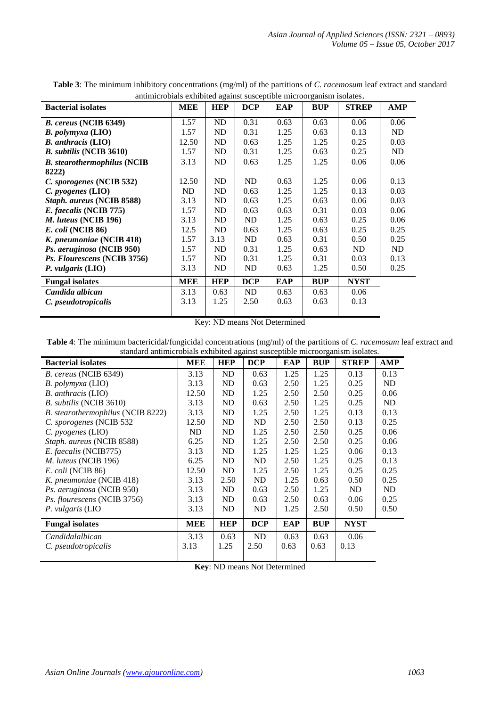| <b>Bacterial isolates</b>          | <b>MEE</b> | <b>HEP</b> | <b>DCP</b> | EAP  | <b>BUP</b> | <b>STREP</b> | AMP  |
|------------------------------------|------------|------------|------------|------|------------|--------------|------|
|                                    | 1.57       | ND         | 0.31       | 0.63 | 0.63       | 0.06         | 0.06 |
| B. cereus (NCIB 6349)              |            |            |            |      |            |              |      |
| <b>B.</b> polymyxa (LIO)           | 1.57       | ND         | 0.31       | 1.25 | 0.63       | 0.13         | ND   |
| <b>B.</b> anthracis (LIO)          | 12.50      | ND         | 0.63       | 1.25 | 1.25       | 0.25         | 0.03 |
| <b>B.</b> subtilis (NCIB 3610)     | 1.57       | ND         | 0.31       | 1.25 | 0.63       | 0.25         | ND.  |
| <b>B.</b> stearothermophilus (NCIB | 3.13       | ND         | 0.63       | 1.25 | 1.25       | 0.06         | 0.06 |
| 8222)                              |            |            |            |      |            |              |      |
| C. sporogenes (NCIB 532)           | 12.50      | ND         | ND         | 0.63 | 1.25       | 0.06         | 0.13 |
| $C.$ pyogenes $(LIO)$              | ND         | ND         | 0.63       | 1.25 | 1.25       | 0.13         | 0.03 |
| Staph. aureus (NCIB 8588)          | 3.13       | ND         | 0.63       | 1.25 | 0.63       | 0.06         | 0.03 |
| E. faecalis (NCIB 775)             | 1.57       | ND         | 0.63       | 0.63 | 0.31       | 0.03         | 0.06 |
| M. luteus (NCIB 196)               | 3.13       | ND         | ND         | 1.25 | 0.63       | 0.25         | 0.06 |
| E. coli (NCIB 86)                  | 12.5       | ND         | 0.63       | 1.25 | 0.63       | 0.25         | 0.25 |
| K. pneumoniae (NCIB 418)           | 1.57       | 3.13       | ND         | 0.63 | 0.31       | 0.50         | 0.25 |
| Ps. aeruginosa (NCIB 950)          | 1.57       | ND         | 0.31       | 1.25 | 0.63       | ND           | ND   |
| Ps. Flourescens (NCIB 3756)        | 1.57       | ND         | 0.31       | 1.25 | 0.31       | 0.03         | 0.13 |
| $P.$ vulgaris $(LIO)$              | 3.13       | ND         | ND         | 0.63 | 1.25       | 0.50         | 0.25 |
| <b>Fungal isolates</b>             | MEE        | <b>HEP</b> | <b>DCP</b> | EAP  | <b>BUP</b> | <b>NYST</b>  |      |
| Candida albican                    | 3.13       | 0.63       | ND         | 0.63 | 0.63       | 0.06         |      |
| C. pseudotropicalis                | 3.13       | 1.25       | 2.50       | 0.63 | 0.63       | 0.13         |      |
|                                    |            |            |            |      |            |              |      |

**Table 3**: The minimum inhibitory concentrations (mg/ml) of the partitions of *C. racemosum* leaf extract and standard antimicrobials exhibited against susceptible microorganism isolates.

Key: ND means Not Determined

**Table 4**: The minimum bactericidal/fungicidal concentrations (mg/ml) of the partitions of *C. racemosum* leaf extract and standard antimicrobials exhibited against susceptible microorganism isolates.  $\overline{a}$ 

| undurd untimitivorum enmonteu agumot ousceptiole interoorganismi nomites. |            |            |            |      |            |              |            |
|---------------------------------------------------------------------------|------------|------------|------------|------|------------|--------------|------------|
| <b>Bacterial isolates</b>                                                 | <b>MEE</b> | <b>HEP</b> | <b>DCP</b> | EAP  | <b>BUP</b> | <b>STREP</b> | <b>AMP</b> |
| B. cereus (NCIB 6349)                                                     | 3.13       | ND         | 0.63       | 1.25 | 1.25       | 0.13         | 0.13       |
| B. polymyxa (LIO)                                                         | 3.13       | ND         | 0.63       | 2.50 | 1.25       | 0.25         | ND         |
| B. anthracis (LIO)                                                        | 12.50      | ND         | 1.25       | 2.50 | 2.50       | 0.25         | 0.06       |
| B. subtilis (NCIB 3610)                                                   | 3.13       | ND         | 0.63       | 2.50 | 1.25       | 0.25         | ND         |
| B. stearothermophilus (NCIB 8222)                                         | 3.13       | ND         | 1.25       | 2.50 | 1.25       | 0.13         | 0.13       |
| C. sporogenes (NCIB 532                                                   | 12.50      | ND         | ND         | 2.50 | 2.50       | 0.13         | 0.25       |
| $C.$ pyogenes (LIO)                                                       | ND         | ND         | 1.25       | 2.50 | 2.50       | 0.25         | 0.06       |
| Staph. aureus (NCIB 8588)                                                 | 6.25       | ND         | 1.25       | 2.50 | 2.50       | 0.25         | 0.06       |
| E. faecalis (NCIB775)                                                     | 3.13       | ND         | 1.25       | 1.25 | 1.25       | 0.06         | 0.13       |
| M. luteus (NCIB 196)                                                      | 6.25       | ND         | ND         | 2.50 | 1.25       | 0.25         | 0.13       |
| E. coli (NCIB 86)                                                         | 12.50      | ND         | 1.25       | 2.50 | 1.25       | 0.25         | 0.25       |
| K. pneumoniae (NCIB 418)                                                  | 3.13       | 2.50       | ND         | 1.25 | 0.63       | 0.50         | 0.25       |
| Ps. aeruginosa (NCIB 950)                                                 | 3.13       | ND         | 0.63       | 2.50 | 1.25       | ND           | ND         |
| Ps. flourescens (NCIB 3756)                                               | 3.13       | ND         | 0.63       | 2.50 | 0.63       | 0.06         | 0.25       |
| P. vulgaris (LIO                                                          | 3.13       | ND         | ND         | 1.25 | 2.50       | 0.50         | 0.50       |
| <b>Fungal isolates</b>                                                    | <b>MEE</b> | <b>HEP</b> | <b>DCP</b> | EAP  | <b>BUP</b> | <b>NYST</b>  |            |
| Candidalalbican                                                           | 3.13       | 0.63       | ND         | 0.63 | 0.63       | 0.06         |            |
| C. pseudotropicalis                                                       | 3.13       | 1.25       | 2.50       | 0.63 | 0.63       | 0.13         |            |
|                                                                           |            |            |            |      |            |              |            |

**Key**: ND means Not Determined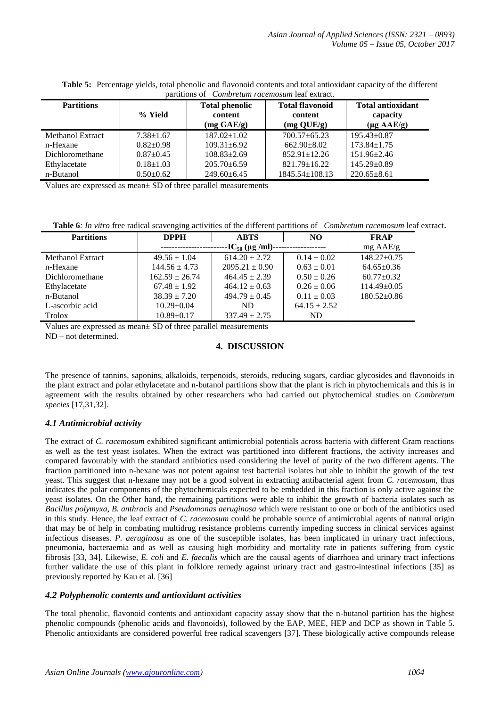|  |                                                        | <b>Table 5:</b> Percentage yields, total phenolic and flavonoid contents and total antioxidant capacity of the different |
|--|--------------------------------------------------------|--------------------------------------------------------------------------------------------------------------------------|
|  | partitions of <i>Combretum racemosum</i> leaf extract. |                                                                                                                          |

| <b>Partitions</b> | % Yield         | <b>Total phenolic</b><br>content<br>$(mg \text{ GAE/g})$ | <b>Total flavonoid</b><br>content<br>$(mg \text{ QUE/g})$ | <b>Total antioxidant</b><br>capacity<br>$(\mu g \text{ AAE/g})$ |
|-------------------|-----------------|----------------------------------------------------------|-----------------------------------------------------------|-----------------------------------------------------------------|
| Methanol Extract  | $7.38 + 1.67$   | $187.02 \pm 1.02$                                        | $700.57 + 65.23$                                          | $195.43 \pm 0.87$                                               |
| n-Hexane          | $0.82 \pm 0.98$ | $109.31 \pm 6.92$                                        | $662.90 + 8.02$                                           | $173.84 \pm 1.75$                                               |
| Dichloromethane   | $0.87+0.45$     | $108.83 \pm 2.69$                                        | $852.91 \pm 12.26$                                        | $151.96 \pm 2.46$                                               |
| Ethylacetate      | $0.18 \pm 1.03$ | $205.70 \pm 6.59$                                        | $821.79 \pm 16.22$                                        | $145.29 \pm 0.89$                                               |
| n-Butanol         | $0.50 \pm 0.62$ | $249.60 \pm 6.45$                                        | $1845.54 \pm 108.13$                                      | $220.65 \pm 8.61$                                               |

Values are expressed as mean± SD of three parallel measurements

**Table 6***: In vitro* free radical scavenging activities of the different partitions of *Combretum racemosum* leaf extract.

| <b>Partitions</b> | <b>ABTS</b><br><b>DPPH</b> |                    | NO.              | <b>FRAP</b>       |
|-------------------|----------------------------|--------------------|------------------|-------------------|
|                   | -----------                | $mg$ AAE/g         |                  |                   |
| Methanol Extract  | $49.56 \pm 1.04$           | $614.20 \pm 2.72$  | $0.14 \pm 0.02$  | $148.27 \pm 0.75$ |
| n-Hexane          | $144.56 \pm 4.73$          | $2095.21 \pm 0.90$ | $0.63 \pm 0.01$  | $64.65 \pm 0.36$  |
| Dichloromethane   | $162.59 \pm 26.74$         | $464.45 \pm 2.39$  | $0.50 \pm 0.26$  | $60.77+0.32$      |
| Ethylacetate      | $67.48 \pm 1.92$           | $464.12 \pm 0.63$  | $0.26 \pm 0.06$  | $114.49 \pm 0.05$ |
| n-Butanol         | $38.39 \pm 7.20$           | $494.79 \pm 0.45$  | $0.11 \pm 0.03$  | $180.52 \pm 0.86$ |
| L-ascorbic acid   | $10.29 \pm 0.04$           | ND.                | $64.15 \pm 2.52$ |                   |
| Trolox            | $10.89 \pm 0.17$           | $337.49 \pm 2.75$  | ND.              |                   |

Values are expressed as mean± SD of three parallel measurements

ND – not determined.

## **4. DISCUSSION**

The presence of tannins, saponins, alkaloids, terpenoids, steroids, reducing sugars, cardiac glycosides and flavonoids in the plant extract and polar ethylacetate and n-butanol partitions show that the plant is rich in phytochemicals and this is in agreement with the results obtained by other researchers who had carried out phytochemical studies on *Combretum species* [17,31,32].

## *4.1 Antimicrobial activity*

The extract of *C. racemosum* exhibited significant antimicrobial potentials across bacteria with different Gram reactions as well as the test yeast isolates. When the extract was partitioned into different fractions, the activity increases and compared favourably with the standard antibiotics used considering the level of purity of the two different agents. The fraction partitioned into n-hexane was not potent against test bacterial isolates but able to inhibit the growth of the test yeast. This suggest that n-hexane may not be a good solvent in extracting antibacterial agent from *C. racemosum*, thus indicates the polar components of the phytochemicals expected to be embedded in this fraction is only active against the yeast isolates. On the Other hand, the remaining partitions were able to inhibit the growth of bacteria isolates such as *Bacillus polymyxa, B. anthracis* and *Pseudomonas aeruginosa* which were resistant to one or both of the antibiotics used in this study. Hence, the leaf extract of *C. racemosum* could be probable source of antimicrobial agents of natural origin that may be of help in combating multidrug resistance problems currently impeding success in clinical services against infectious diseases. *P. aeruginosa* as one of the susceptible isolates, has been implicated in urinary tract infections, pneumonia, bacteraemia and as well as causing high morbidity and mortality rate in patients suffering from cystic fibrosis [33, 34]. Likewise, *E. coli* and *E. faecalis* which are the causal agents of diarrhoea and urinary tract infections further validate the use of this plant in folklore remedy against urinary tract and gastro-intestinal infections [35] as previously reported by Kau et al. [36]

## *4.2 Polyphenolic contents and antioxidant activities*

The total phenolic, flavonoid contents and antioxidant capacity assay show that the n-butanol partition has the highest phenolic compounds (phenolic acids and flavonoids), followed by the EAP, MEE, HEP and DCP as shown in Table 5. Phenolic antioxidants are considered powerful free radical scavengers [37]. These biologically active compounds release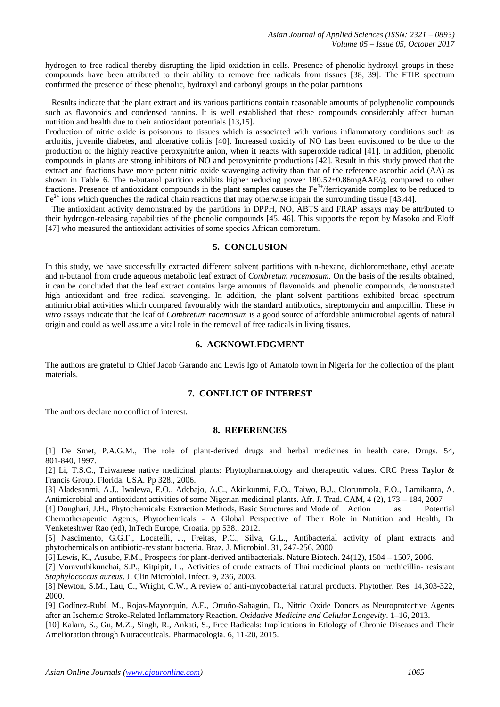hydrogen to free radical thereby disrupting the lipid oxidation in cells. Presence of phenolic hydroxyl groups in these compounds have been attributed to their ability to remove free radicals from tissues [38, 39]. The FTIR spectrum confirmed the presence of these phenolic, hydroxyl and carbonyl groups in the polar partitions

 Results indicate that the plant extract and its various partitions contain reasonable amounts of polyphenolic compounds such as flavonoids and condensed tannins. It is well established that these compounds considerably affect human nutrition and health due to their antioxidant potentials [13,15].

Production of nitric oxide is poisonous to tissues which is associated with various inflammatory conditions such as arthritis, juvenile diabetes, and ulcerative colitis [40]. Increased toxicity of NO has been envisioned to be due to the production of the highly reactive peroxynitrite anion, when it reacts with superoxide radical [41]. In addition, phenolic compounds in plants are strong inhibitors of NO and peroxynitrite productions [42]. Result in this study proved that the extract and fractions have more potent nitric oxide scavenging activity than that of the reference ascorbic acid (AA) as shown in Table 6. The n-butanol partition exhibits higher reducing power 180.52±0.86mgAAE/g, compared to other fractions. Presence of antioxidant compounds in the plant samples causes the  $Fe<sup>3+</sup>/ferricyanide$  complex to be reduced to  $Fe<sup>2+</sup>$  ions which quenches the radical chain reactions that may otherwise impair the surrounding tissue [43,44].

 The antioxidant activity demonstrated by the partitions in DPPH, NO, ABTS and FRAP assays may be attributed to their hydrogen-releasing capabilities of the phenolic compounds [45, 46]. This supports the report by Masoko and Eloff [47] who measured the antioxidant activities of some species African combretum.

## **5. CONCLUSION**

In this study, we have successfully extracted different solvent partitions with n-hexane, dichloromethane, ethyl acetate and n-butanol from crude aqueous metabolic leaf extract of *Combretum racemosum*. On the basis of the results obtained, it can be concluded that the leaf extract contains large amounts of flavonoids and phenolic compounds, demonstrated high antioxidant and free radical scavenging. In addition, the plant solvent partitions exhibited broad spectrum antimicrobial activities which compared favourably with the standard antibiotics, streptomycin and ampicillin. These *in vitro* assays indicate that the leaf of *Combretum racemosum* is a good source of affordable antimicrobial agents of natural origin and could as well assume a vital role in the removal of free radicals in living tissues.

## **6. ACKNOWLEDGMENT**

The authors are grateful to Chief Jacob Garando and Lewis Igo of Amatolo town in Nigeria for the collection of the plant materials.

#### **7. CONFLICT OF INTEREST**

The authors declare no conflict of interest.

#### **8. REFERENCES**

[1] De Smet, P.A.G.M., The role of plant-derived drugs and herbal medicines in health care. Drugs. 54, 801-840, 1997.

[2] Li, T.S.C., Taiwanese native medicinal plants: Phytopharmacology and therapeutic values. CRC Press Taylor & Francis Group. Florida. USA. Pp 328., 2006.

[3] Aladesanmi, A.J., Iwalewa, E.O., Adebajo, A.C., Akinkunmi, E.O., Taiwo, B.J., Olorunmola, F.O., Lamikanra, A. Antimicrobial and antioxidant activities of some Nigerian medicinal plants. Afr. J. Trad. CAM, 4 (2), 173 – 184, 2007

[4] Doughari, J.H., Phytochemicals: Extraction Methods, Basic Structures and Mode of Action as Potential Chemotherapeutic Agents, Phytochemicals - A Global Perspective of Their Role in Nutrition and Health, Dr Venketeshwer Rao (ed), InTech Europe, Croatia. pp 538., 2012.

[5] Nascimento, G.G.F., Locatelli, J., Freitas, P.C., Silva, G.L., Antibacterial activity of plant extracts and phytochemicals on antibiotic-resistant bacteria. Braz. J. Microbiol. 31, 247-256, 2000

[6] Lewis, K., Ausube, F.M., Prospects for plant-derived antibacterials. Nature Biotech. 24(12), 1504 – 1507, 2006.

[7] Voravuthikunchai, S.P., Kitpipit, L., Activities of crude extracts of Thai medicinal plants on methicillin- resistant *Staphylococcus aureus*. J. Clin Microbiol. Infect. 9, 236, 2003.

[8] Newton, S.M., Lau, C., Wright, C.W., A review of anti-mycobacterial natural products. Phytother. Res. 14,303-322, 2000.

[9] Godínez-Rubí, M., Rojas-Mayorquín, A.E., Ortuño-Sahagún, D., Nitric Oxide Donors as Neuroprotective Agents after an Ischemic Stroke-Related Inflammatory Reaction. *Oxidative Medicine and Cellular Longevity*. 1–16, 2013.

[10] Kalam, S., Gu, M.Z., Singh, R., Ankati, S., Free Radicals: Implications in Etiology of Chronic Diseases and Their Amelioration through Nutraceuticals. Pharmacologia. 6, 11-20, 2015.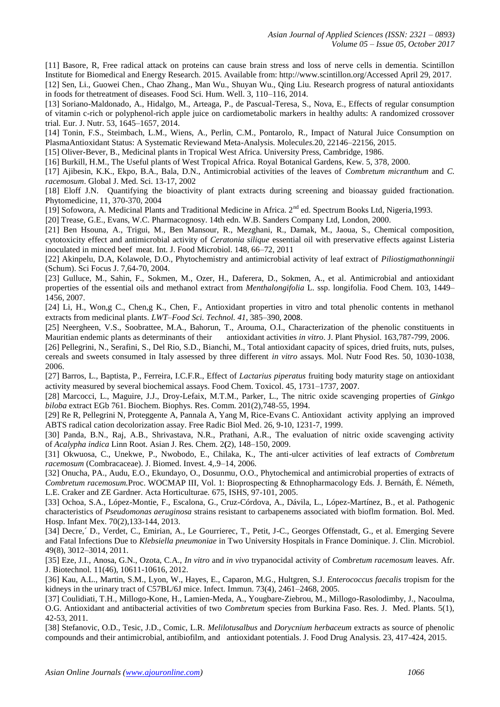[11] Basore, R, Free radical attack on proteins can cause brain stress and loss of nerve cells in dementia. Scintillon Institute for Biomedical and Energy Research. 2015. Available from: http://www.scintillon.org/Accessed April 29, 2017.

[12] Sen, Li., Guowei Chen., Chao Zhang., Man Wu., Shuyan Wu., Qing Liu. Research progress of natural antioxidants in foods for thetreatment of diseases. Food Sci. Hum. Well. 3, 110–116, 2014.

[13] Soriano-Maldonado, A., Hidalgo, M., Arteaga, P., de Pascual-Teresa, S., Nova, E., Effects of regular consumption of vitamin c-rich or polyphenol-rich apple juice on cardiometabolic markers in healthy adults: A randomized crossover trial*.* Eur. J. Nutr. 53, 1645–1657, 2014.

[14] Tonin, F.S., Steimbach, L.M., Wiens, A., Perlin, C.M., Pontarolo, R., Impact of Natural Juice Consumption on PlasmaAntioxidant Status: A Systematic Reviewand Meta-Analysis. Molecul*es.*20, 22146–22156, 2015.

[15] Oliver-Bever, B., Medicinal plants in Tropical West Africa. University Press, Cambridge, 1986.

[16] Burkill, H.M., The Useful plants of West Tropical Africa. Royal Botanical Gardens, Kew. 5, 378, 2000.

[17] Ajibesin, K.K., Ekpo, B.A., Bala, D.N., Antimicrobial activities of the leaves of *Combretum micranthum* and *C. racemosum*. Global J. Med. Sci. 13-17, 2002

[18] Eloff J.N. Quantifying the bioactivity of plant extracts during screening and bioassay guided fractionation. Phytomedicine, 11, 370-370, 2004

[19] Sofowora, A. Medicinal Plants and Traditional Medicine in Africa. 2<sup>nd</sup> ed. Spectrum Books Ltd, Nigeria,1993.

[20] Trease, G.E., Evans, W.C. Pharmacognosy. 14th edn. W.B. Sanders Company Ltd, London, 2000.

[21] Ben Hsouna, A., Trigui, M., Ben Mansour, R., Mezghani, R., Damak, M., Jaoua, S., Chemical composition, cytotoxicity effect and antimicrobial activity of *Ceratonia silique* essential oil with preservative effects against Listeria inoculated in minced beef meat. Int. J. Food Microbiol. 148, 66–72, 2011

[22] Akinpelu, D.A, Kolawole, D.O., Phytochemistry and antimicrobial activity of leaf extract of *Piliostigmathonningii* (Schum). Sci Focus J. 7*,*64-70, 2004.

[23] Gulluce, M., Sahin, F., Sokmen, M., Ozer, H., Daferera, D., Sokmen, A., et al. Antimicrobial and antioxidant properties of the essential oils and methanol extract from *Menthalongifolia* L. ssp. longifolia. Food Chem. 103, 1449– 1456, 2007.

[24] Li, H., Won,g C., Chen,g K., Chen, F., Antioxidant properties in vitro and total phenolic contents in methanol extracts from medicinal plants. *LWT–Food Sci. Technol. 41*, 385–390, 2008.

[25] Neergheen, V.S., Soobrattee, M.A., Bahorun, T., Arouma, O.I., Characterization of the phenolic constituents in Mauritian endemic plants as determinants of their antioxidant activities *in vitro*. J. Plant Physiol. 163 antioxidant activities *in vitro*. J. Plant Physiol. 163,787-799, 2006.

[26] Pellegrini, N., Serafini, S., Del Rio, S.D., Bianchi, M., Total antioxidant capacity of spices, dried fruits, nuts, pulses, cereals and sweets consumed in Italy assessed by three different *in vitro* assays. Mol. Nutr Food Res. 50, 1030-1038, 2006.

[27] Barros, L., Baptista, P., Ferreira, I.C.F.R., Effect of *Lactarius piperatus* fruiting body maturity stage on antioxidant activity measured by several biochemical assays. Food Chem. Toxicol. 45, 1731–1737, 2007.

[28] Marcocci, L., Maguire, J.J., Droy-Lefaix, M.T.M., Parker, L., The nitric oxide scavenging properties of *Ginkgo biloba* extract EGb 761. Biochem. Biophys. Res. Comm. 201(2),748-55, 1994.

[29] Re R, Pellegrini N, Proteggente A, Pannala A, Yang M, Rice-Evans C. Antioxidant activity applying an improved ABTS radical cation decolorization assay. Free Radic Biol Med. 26, 9-10, 1231-7, 1999.

[30] Panda, B.N., Raj, A.B., Shrivastava, N.R., Prathani, A.R., The evaluation of nitric oxide scavenging activity of *Acalypha indica* Linn Root. Asian J. Res. Chem. 2**(**2), 148–150, 2009.

[31] Okwuosa, C., Unekwe, P., Nwobodo, E., Chilaka, K., The anti-ulcer activities of leaf extracts of *Combretum racemosum* (Combracaceae). J. Biomed. Invest. 4,.9–14, 2006.

[32] Onucha, PA., Audu, E.O., Ekundayo, O., Dosunmu, O.O., Phytochemical and antimicrobial properties of extracts of *Combretum racemosum.*Proc. WOCMAP III, Vol. 1: Bioprospecting & Ethnopharmacology Eds. J. Bernáth, É. Németh, L.E. Craker and ZE Gardner. Acta Horticulturae*.* 675, ISHS, 97-101, 2005.

[33] Ochoa, S.A., López-Montie, F., Escalona, G., Cruz-Córdova, A., Dávila, L., López-Martínez, B.*,* et al. Pathogenic characteristics of *Pseudomonas aeruginosa* strains resistant to carbapenems associated with bioflm formation. Bol. Med. Hosp. Infant Mex. 70(2),133-144, 2013.

[34] Decre,´ D., Verdet, C., Emirian, A., Le Gourrierec, T., Petit, J-C., Georges Offenstadt, G., et al. Emerging Severe and Fatal Infections Due to *Klebsiella pneumoniae* in Two University Hospitals in France Dominique. J. Clin. Microbiol. 49(8), 3012–3014, 2011.

[35] Eze, J.I., Anosa, G.N., Ozota, C.A., *In vitro* and *in vivo* trypanocidal activity of *Combretum racemosum* leaves. Afr. J. Biotechnol. 11(46), 10611-10616, 2012.

[36] Kau, A.L., Martin, S.M., Lyon, W., Hayes, E., Caparon, M.G., Hultgren, S.J. *Enterococcus faecalis* tropism for the kidneys in the urinary tract of C57BL/6J mice. Infect. Immun. 73(4), 2461–2468, 2005.

[37] Coulidiati, T.H., Millogo-Kone, H., Lamien-Meda, A., Yougbare-Ziebrou, M., Millogo-Rasolodimby, J., Nacoulma, O.G. Antioxidant and antibacterial activities of two *Combretum* species from Burkina Faso. Res. J. Med. Plants. 5(1), 42-53, 2011.

[38] Stefanovic, O.D., Tesic, J.D., Comic, L.R. *Melilotusalbus* and *Dorycnium herbaceum* extracts as source of phenolic compounds and their antimicrobial, antibiofilm, and antioxidant potentials. J. Food Drug Analysis. 23, 417-424, 2015.